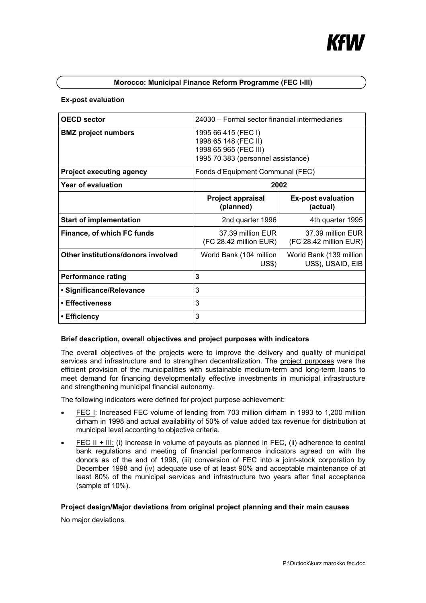# **Morocco: Municipal Finance Reform Programme (FEC I-III)**

#### **Ex-post evaluation**

| <b>OECD sector</b>                 | 24030 - Formal sector financial intermediaries                                                             |                                              |
|------------------------------------|------------------------------------------------------------------------------------------------------------|----------------------------------------------|
| <b>BMZ</b> project numbers         | 1995 66 415 (FEC I)<br>1998 65 148 (FEC II)<br>1998 65 965 (FEC III)<br>1995 70 383 (personnel assistance) |                                              |
| <b>Project executing agency</b>    | Fonds d'Equipment Communal (FEC)                                                                           |                                              |
| Year of evaluation                 | 2002                                                                                                       |                                              |
|                                    | <b>Project appraisal</b><br>(planned)                                                                      | <b>Ex-post evaluation</b><br>(actual)        |
| <b>Start of implementation</b>     | 2nd quarter 1996                                                                                           | 4th quarter 1995                             |
| Finance, of which FC funds         | 37.39 million EUR<br>(FC 28.42 million EUR)                                                                | 37.39 million EUR<br>(FC 28.42 million EUR)  |
| Other institutions/donors involved | World Bank (104 million<br>US\$)                                                                           | World Bank (139 million<br>US\$), USAID, EIB |
| <b>Performance rating</b>          | 3                                                                                                          |                                              |
| • Significance/Relevance           | 3                                                                                                          |                                              |
| • Effectiveness                    | 3                                                                                                          |                                              |
| ∙ Efficiency                       | 3                                                                                                          |                                              |

## **Brief description, overall objectives and project purposes with indicators**

The overall objectives of the projects were to improve the delivery and quality of municipal services and infrastructure and to strengthen decentralization. The project purposes were the efficient provision of the municipalities with sustainable medium-term and long-term loans to meet demand for financing developmentally effective investments in municipal infrastructure and strengthening municipal financial autonomy.

The following indicators were defined for project purpose achievement:

- FEC I: Increased FEC volume of lending from 703 million dirham in 1993 to 1,200 million dirham in 1998 and actual availability of 50% of value added tax revenue for distribution at municipal level according to objective criteria.
- FEC II + III: (i) Increase in volume of payouts as planned in FEC, (ii) adherence to central bank regulations and meeting of financial performance indicators agreed on with the donors as of the end of 1998, (iii) conversion of FEC into a joint-stock corporation by December 1998 and (iv) adequate use of at least 90% and acceptable maintenance of at least 80% of the municipal services and infrastructure two years after final acceptance (sample of 10%).

## **Project design/Major deviations from original project planning and their main causes**

No major deviations.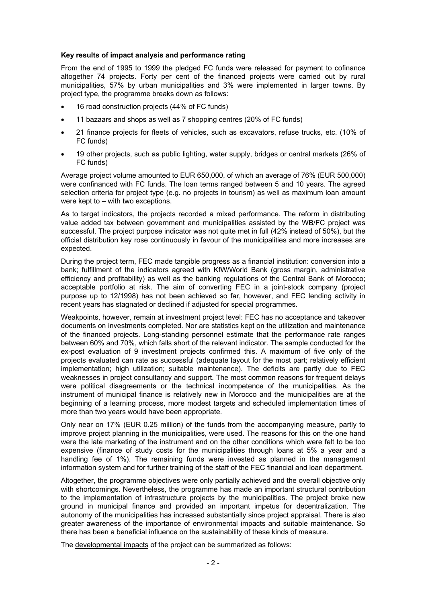#### **Key results of impact analysis and performance rating**

From the end of 1995 to 1999 the pledged FC funds were released for payment to cofinance altogether 74 projects. Forty per cent of the financed projects were carried out by rural municipalities, 57% by urban municipalities and 3% were implemented in larger towns. By project type, the programme breaks down as follows:

- 16 road construction projects (44% of FC funds)
- 11 bazaars and shops as well as 7 shopping centres (20% of FC funds)
- 21 finance projects for fleets of vehicles, such as excavators, refuse trucks, etc. (10% of FC funds)
- 19 other projects, such as public lighting, water supply, bridges or central markets (26% of FC funds)

Average project volume amounted to EUR 650,000, of which an average of 76% (EUR 500,000) were confinanced with FC funds. The loan terms ranged between 5 and 10 years. The agreed selection criteria for project type (e.g. no projects in tourism) as well as maximum loan amount were kept to – with two exceptions.

As to target indicators, the projects recorded a mixed performance. The reform in distributing value added tax between government and municipalities assisted by the WB/FC project was successful. The project purpose indicator was not quite met in full (42% instead of 50%), but the official distribution key rose continuously in favour of the municipalities and more increases are expected.

During the project term, FEC made tangible progress as a financial institution: conversion into a bank; fulfillment of the indicators agreed with KfW/World Bank (gross margin, administrative efficiency and profitability) as well as the banking regulations of the Central Bank of Morocco; acceptable portfolio at risk. The aim of converting FEC in a joint-stock company (project purpose up to 12/1998) has not been achieved so far, however, and FEC lending activity in recent years has stagnated or declined if adjusted for special programmes.

Weakpoints, however, remain at investment project level: FEC has no acceptance and takeover documents on investments completed. Nor are statistics kept on the utilization and maintenance of the financed projects. Long-standing personnel estimate that the performance rate ranges between 60% and 70%, which falls short of the relevant indicator. The sample conducted for the ex-post evaluation of 9 investment projects confirmed this. A maximum of five only of the projects evaluated can rate as successful (adequate layout for the most part; relatively efficient implementation; high utilization; suitable maintenance). The deficits are partly due to FEC weaknesses in project consultancy and support. The most common reasons for frequent delays were political disagreements or the technical incompetence of the municipalities. As the instrument of municipal finance is relatively new in Morocco and the municipalities are at the beginning of a learning process, more modest targets and scheduled implementation times of more than two years would have been appropriate.

Only near on 17% (EUR 0.25 million) of the funds from the accompanying measure, partly to improve project planning in the municipalities, were used. The reasons for this on the one hand were the late marketing of the instrument and on the other conditions which were felt to be too expensive (finance of study costs for the municipalities through loans at 5% a year and a handling fee of 1%). The remaining funds were invested as planned in the management information system and for further training of the staff of the FEC financial and loan department.

Altogether, the programme objectives were only partially achieved and the overall objective only with shortcomings. Nevertheless, the programme has made an important structural contribution to the implementation of infrastructure projects by the municipalities. The project broke new ground in municipal finance and provided an important impetus for decentralization. The autonomy of the municipalities has increased substantially since project appraisal. There is also greater awareness of the importance of environmental impacts and suitable maintenance. So there has been a beneficial influence on the sustainability of these kinds of measure.

The developmental impacts of the project can be summarized as follows: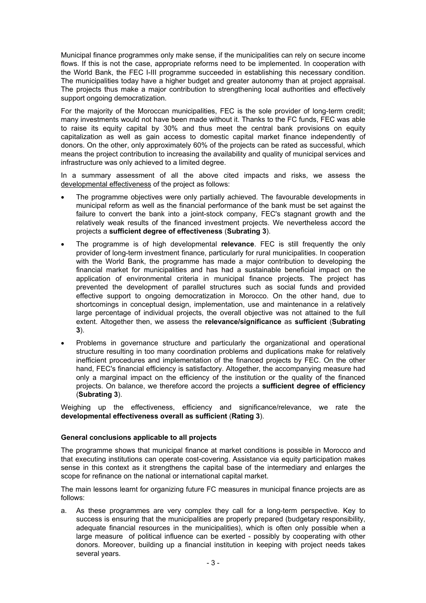Municipal finance programmes only make sense, if the municipalities can rely on secure income flows. If this is not the case, appropriate reforms need to be implemented. In cooperation with the World Bank, the FEC I-III programme succeeded in establishing this necessary condition. The municipalities today have a higher budget and greater autonomy than at project appraisal. The projects thus make a major contribution to strengthening local authorities and effectively support ongoing democratization.

For the majority of the Moroccan municipalities, FEC is the sole provider of long-term credit; many investments would not have been made without it. Thanks to the FC funds, FEC was able to raise its equity capital by 30% and thus meet the central bank provisions on equity capitalization as well as gain access to domestic capital market finance independently of donors. On the other, only approximately 60% of the projects can be rated as successful, which means the project contribution to increasing the availability and quality of municipal services and infrastructure was only achieved to a limited degree.

In a summary assessment of all the above cited impacts and risks, we assess the developmental effectiveness of the project as follows:

- The programme objectives were only partially achieved. The favourable developments in municipal reform as well as the financial performance of the bank must be set against the failure to convert the bank into a joint-stock company, FEC's stagnant growth and the relatively weak results of the financed investment projects. We nevertheless accord the projects a **sufficient degree of effectiveness** (**Subrating 3**).
- The programme is of high developmental **relevance**. FEC is still frequently the only provider of long-term investment finance, particularly for rural municipalities. In cooperation with the World Bank, the programme has made a major contribution to developing the financial market for municipalities and has had a sustainable beneficial impact on the application of environmental criteria in municipal finance projects. The project has prevented the development of parallel structures such as social funds and provided effective support to ongoing democratization in Morocco. On the other hand, due to shortcomings in conceptual design, implementation, use and maintenance in a relatively large percentage of individual projects, the overall objective was not attained to the full extent. Altogether then, we assess the **relevance/significance** as **sufficient** (**Subrating 3**).
- Problems in governance structure and particularly the organizational and operational structure resulting in too many coordination problems and duplications make for relatively inefficient procedures and implementation of the financed projects by FEC. On the other hand, FEC's financial efficiency is satisfactory. Altogether, the accompanying measure had only a marginal impact on the efficiency of the institution or the quality of the financed projects. On balance, we therefore accord the projects a **sufficient degree of efficiency** (**Subrating 3**).

Weighing up the effectiveness, efficiency and significance/relevance, we rate the **developmental effectiveness overall as sufficient** (**Rating 3**).

## **General conclusions applicable to all projects**

The programme shows that municipal finance at market conditions is possible in Morocco and that executing institutions can operate cost-covering. Assistance via equity participation makes sense in this context as it strengthens the capital base of the intermediary and enlarges the scope for refinance on the national or international capital market.

The main lessons learnt for organizing future FC measures in municipal finance projects are as follows:

a. As these programmes are very complex they call for a long-term perspective. Key to success is ensuring that the municipalities are properly prepared (budgetary responsibility, adequate financial resources in the municipalities), which is often only possible when a large measure of political influence can be exerted - possibly by cooperating with other donors. Moreover, building up a financial institution in keeping with project needs takes several years.